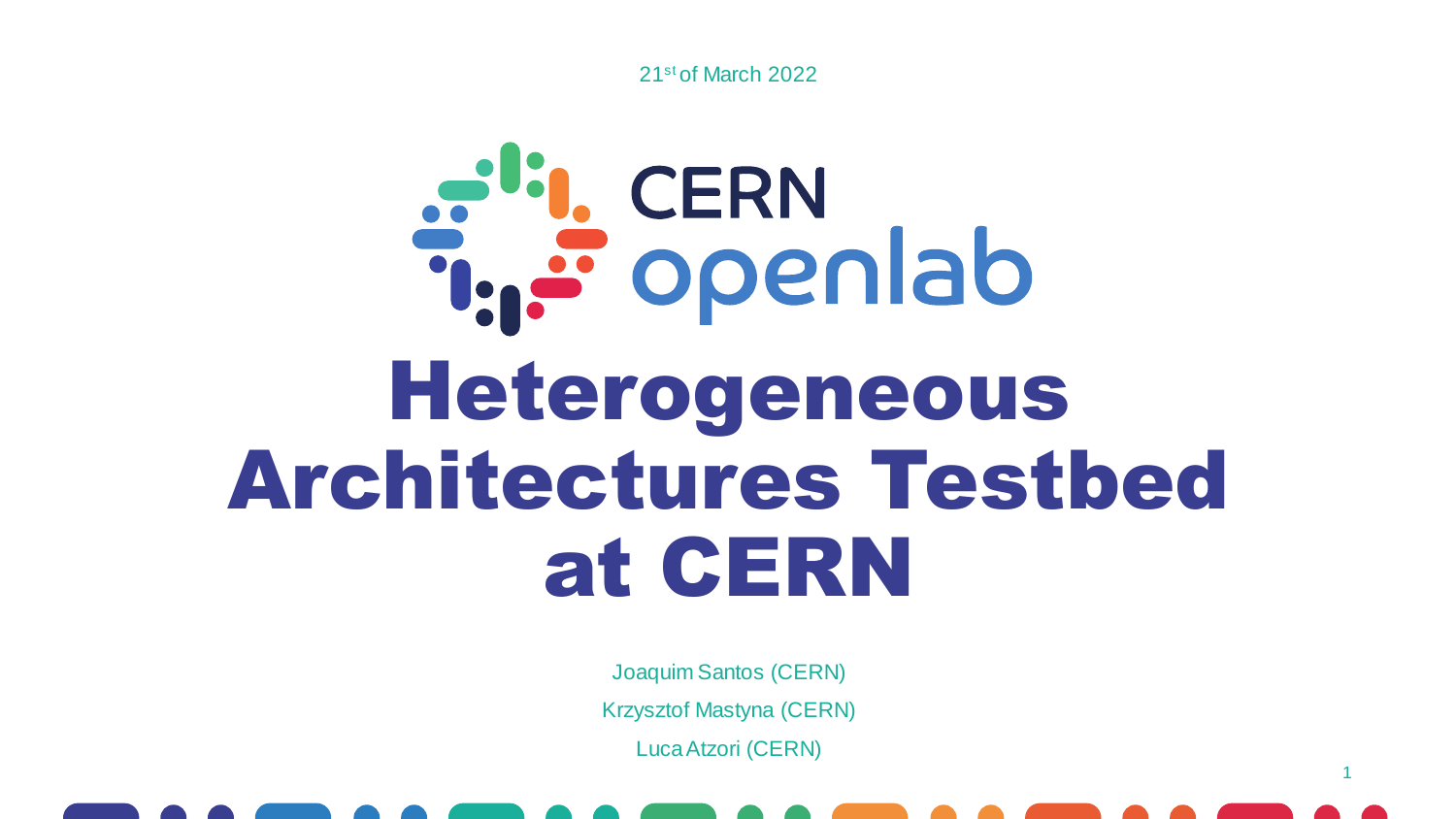

# a<sup>d</sup>: CERN<br>T. Fopenlab Heterogeneous Architectures Testbed at CERN

Joaquim Santos (CERN) Krzysztof Mastyna (CERN) Luca Atzori (CERN)



1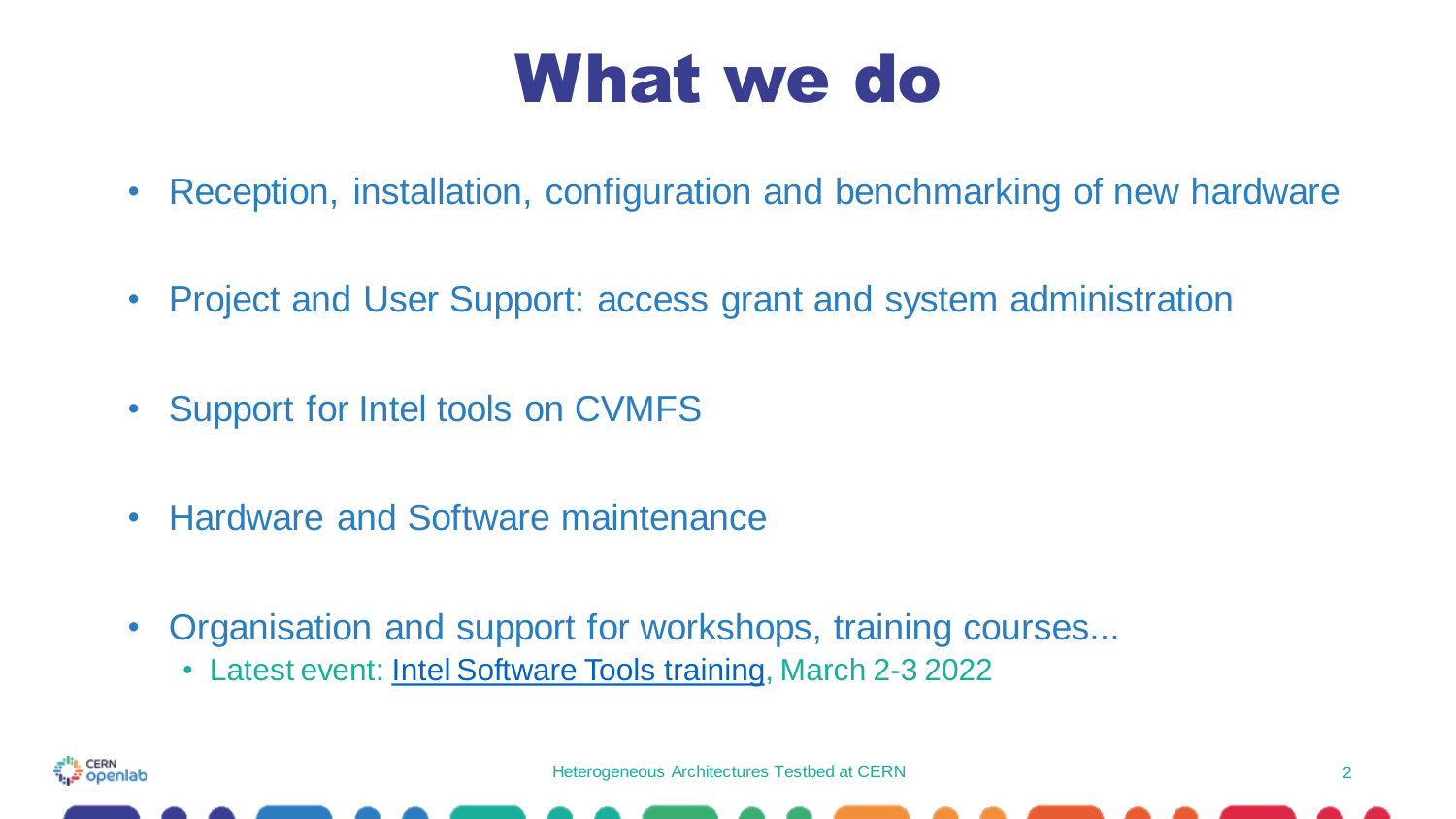### What we do

- Reception, installation, configuration and benchmarking of new hardware
- Project and User Support: access grant and system administration
- Support for Intel tools on CVMFS
- Hardware and Software maintenance
- Organisation and support for workshops, training courses...
	- Latest event: [Intel Software Tools training,](https://indico.cern.ch/event/1106734/) March 2-3 2022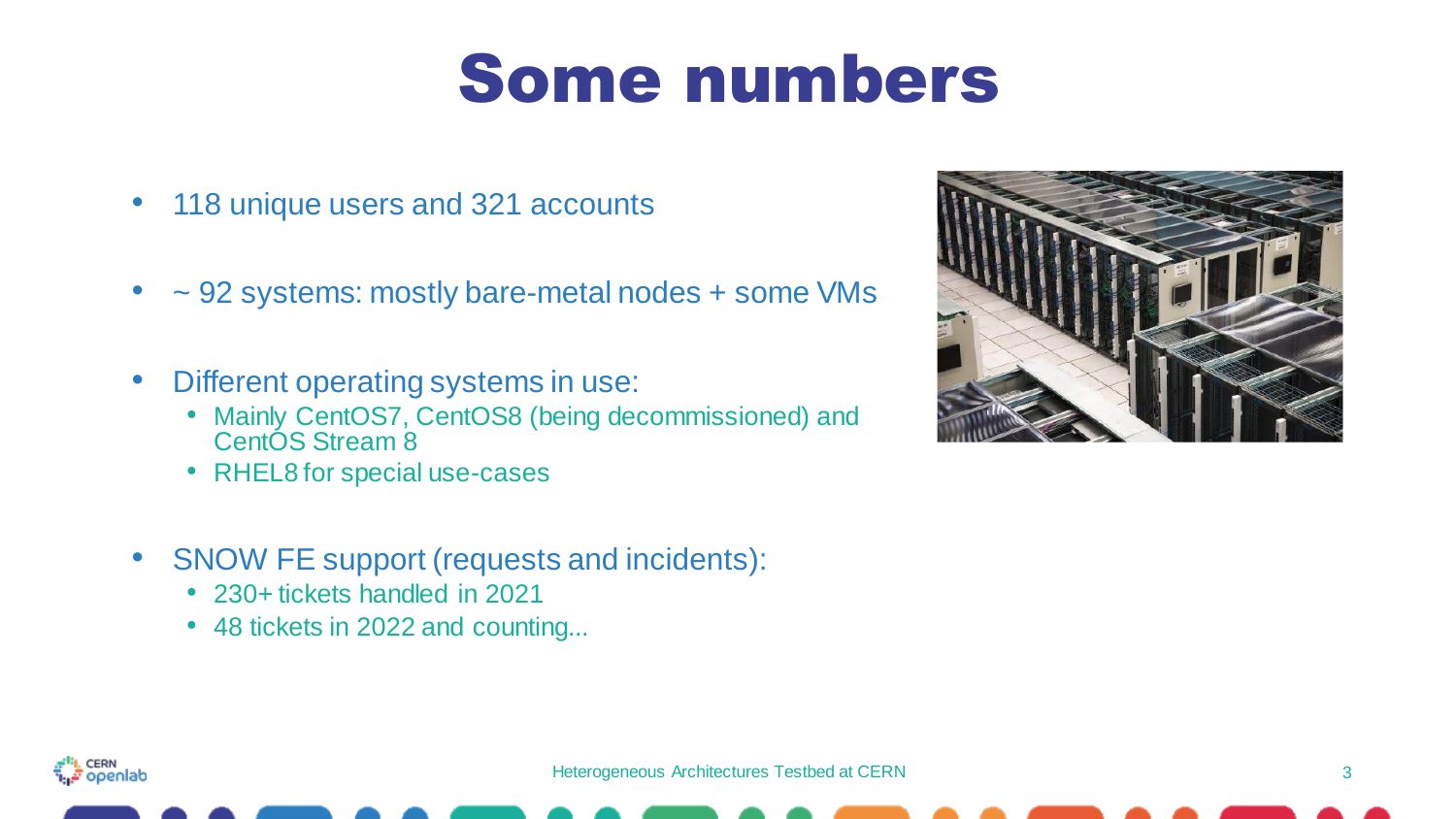### Some numbers

- 118 unique users and 321 accounts
- ~ 92 systems: mostly bare-metal nodes + some VMs
- Different operating systems in use:
	- Mainly CentOS7, CentOS8 (being decommissioned) and CentÓS Stream 8
	- RHEL8 for special use-cases
- SNOW FE support (requests and incidents):
	- 230+ tickets handled in 2021
	- 48 tickets in 2022 and counting...



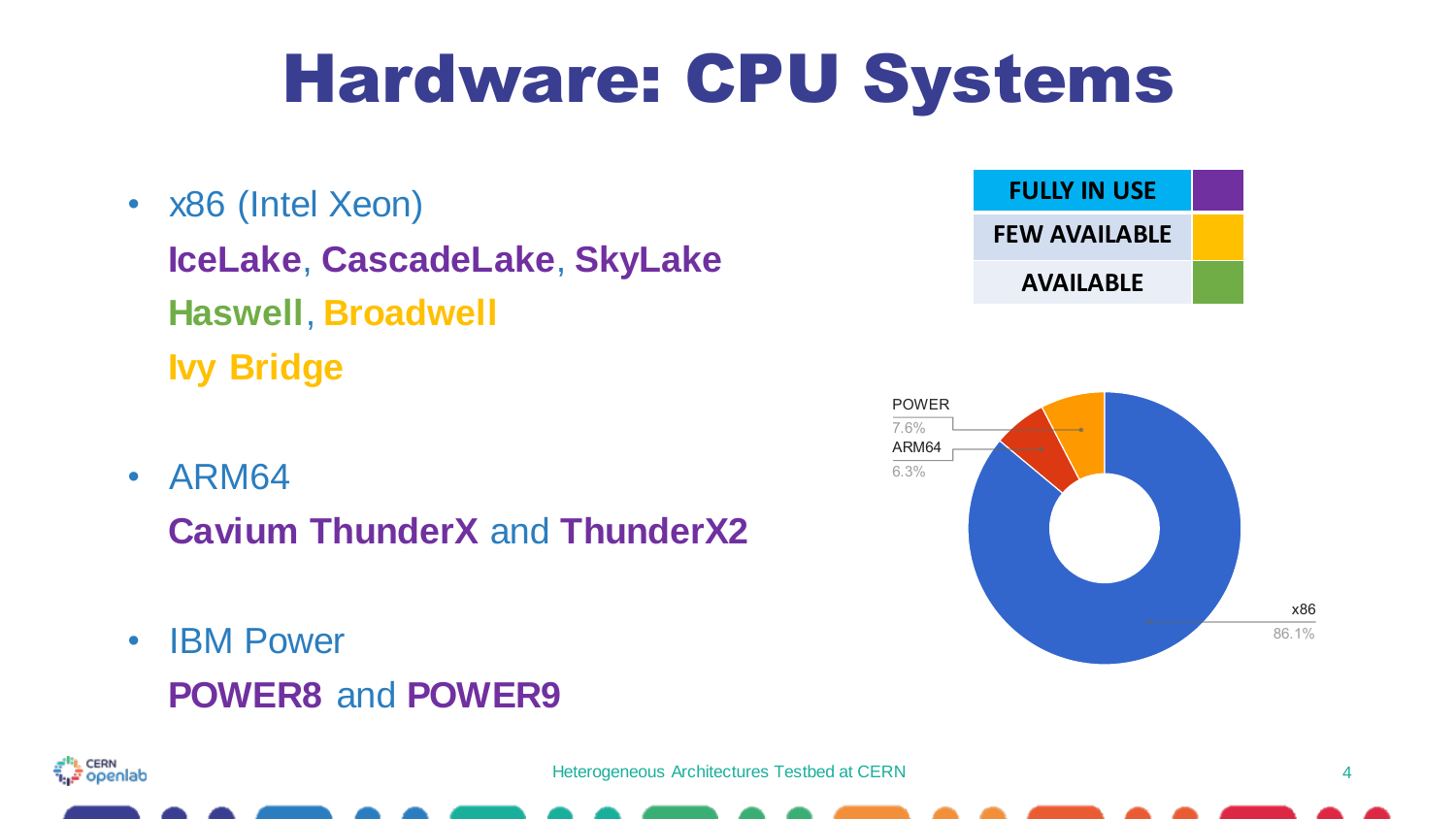### Hardware: CPU Systems

- x86 (Intel Xeon) **IceLake**, **CascadeLake**, **SkyLake Haswell**, **Broadwell Ivy Bridge**
- ARM64

**Cavium ThunderX** and **ThunderX2**

• IBM Power **POWER8** and **POWER9**





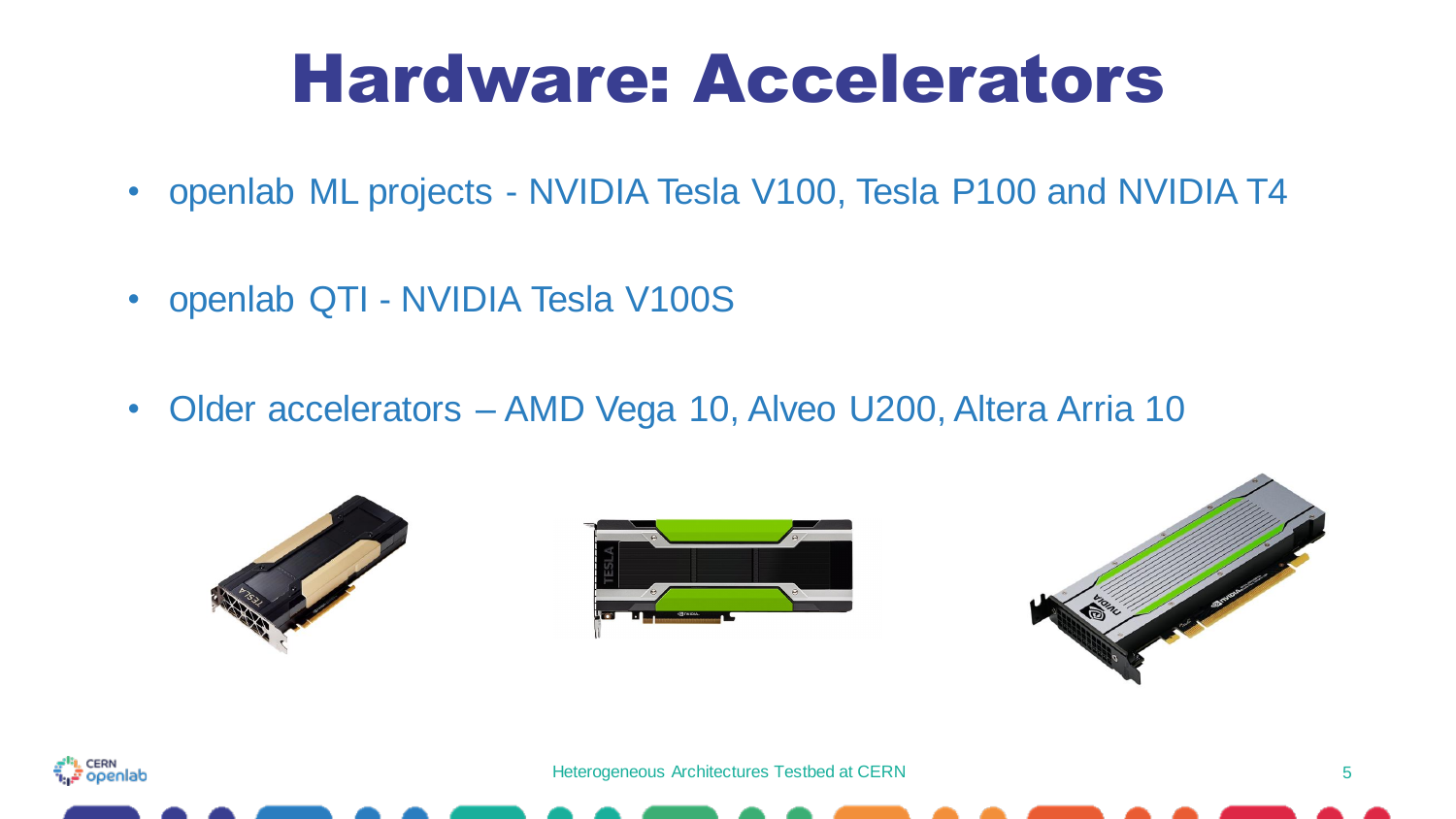### Hardware: Accelerators

- openlab ML projects NVIDIA Tesla V100, Tesla P100 and NVIDIA T4
- openlab QTI NVIDIA Tesla V100S
- Older accelerators AMD Vega 10, Alveo U200, Altera Arria 10



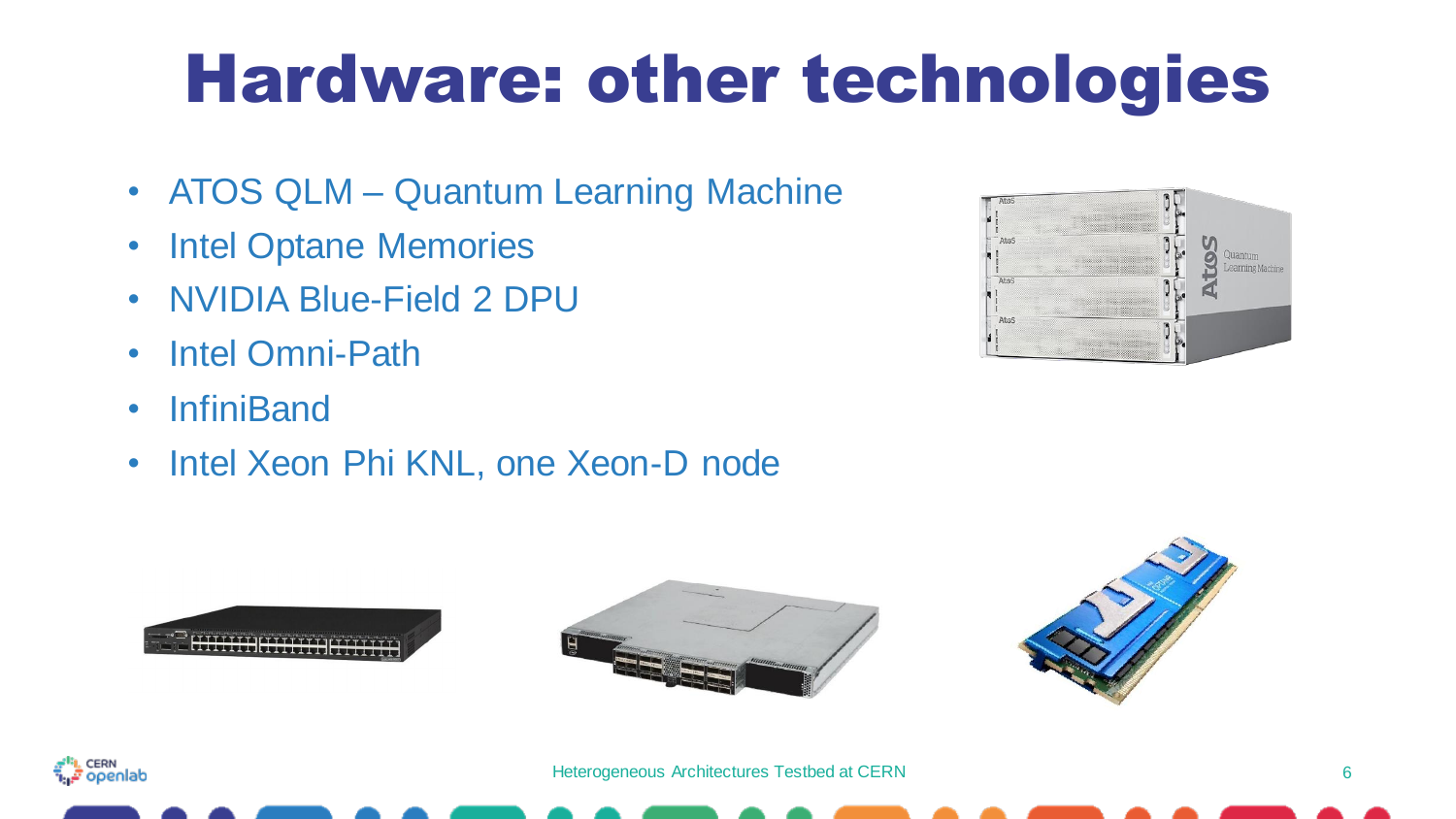### Hardware: other technologies

- ATOS QLM Quantum Learning Machine
- Intel Optane Memories
- NVIDIA Blue-Field 2 DPU
- Intel Omni-Path
- InfiniBand
- Intel Xeon Phi KNL, one Xeon-D node









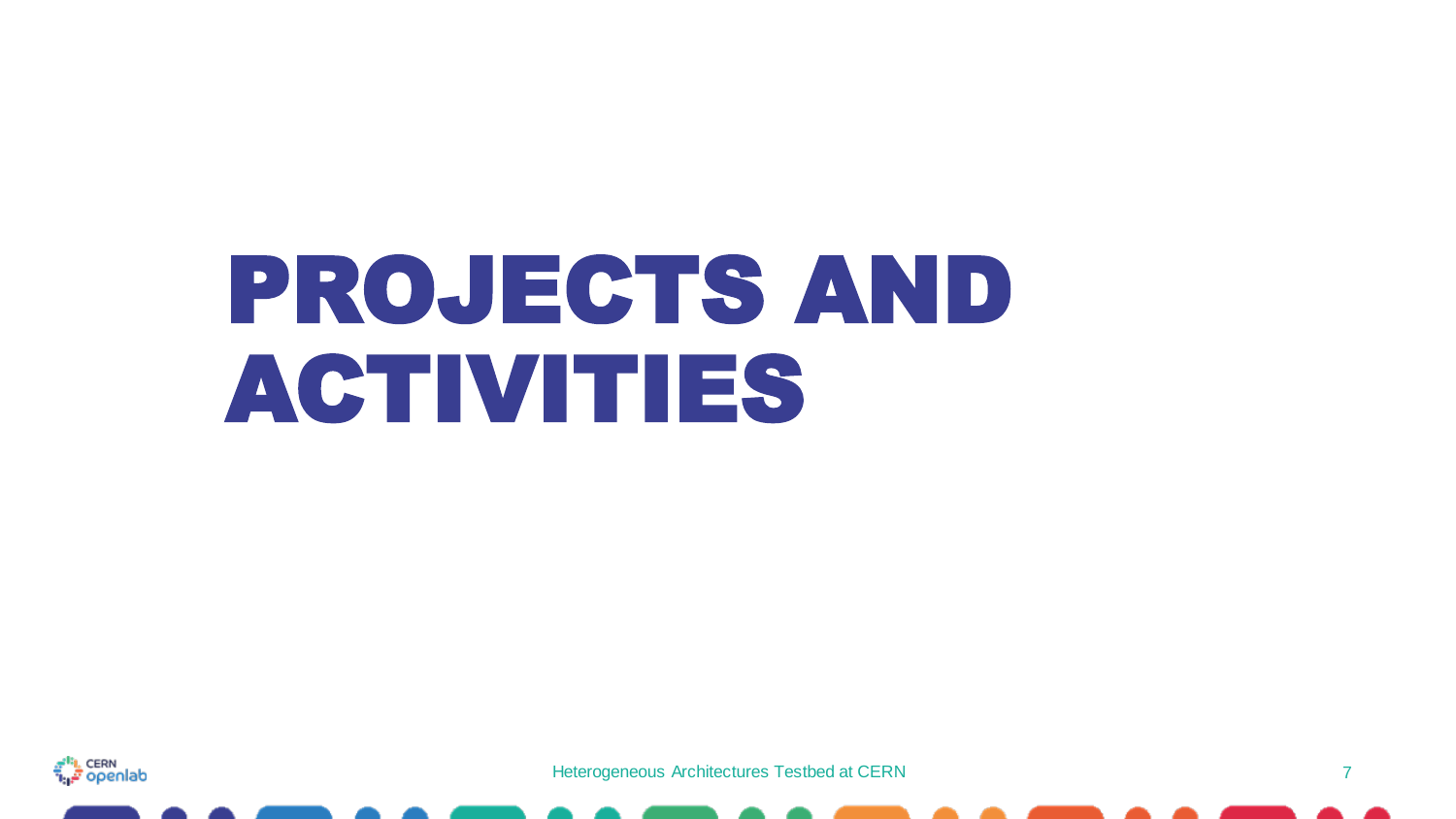## PROJECTS AND ACTIVITIES

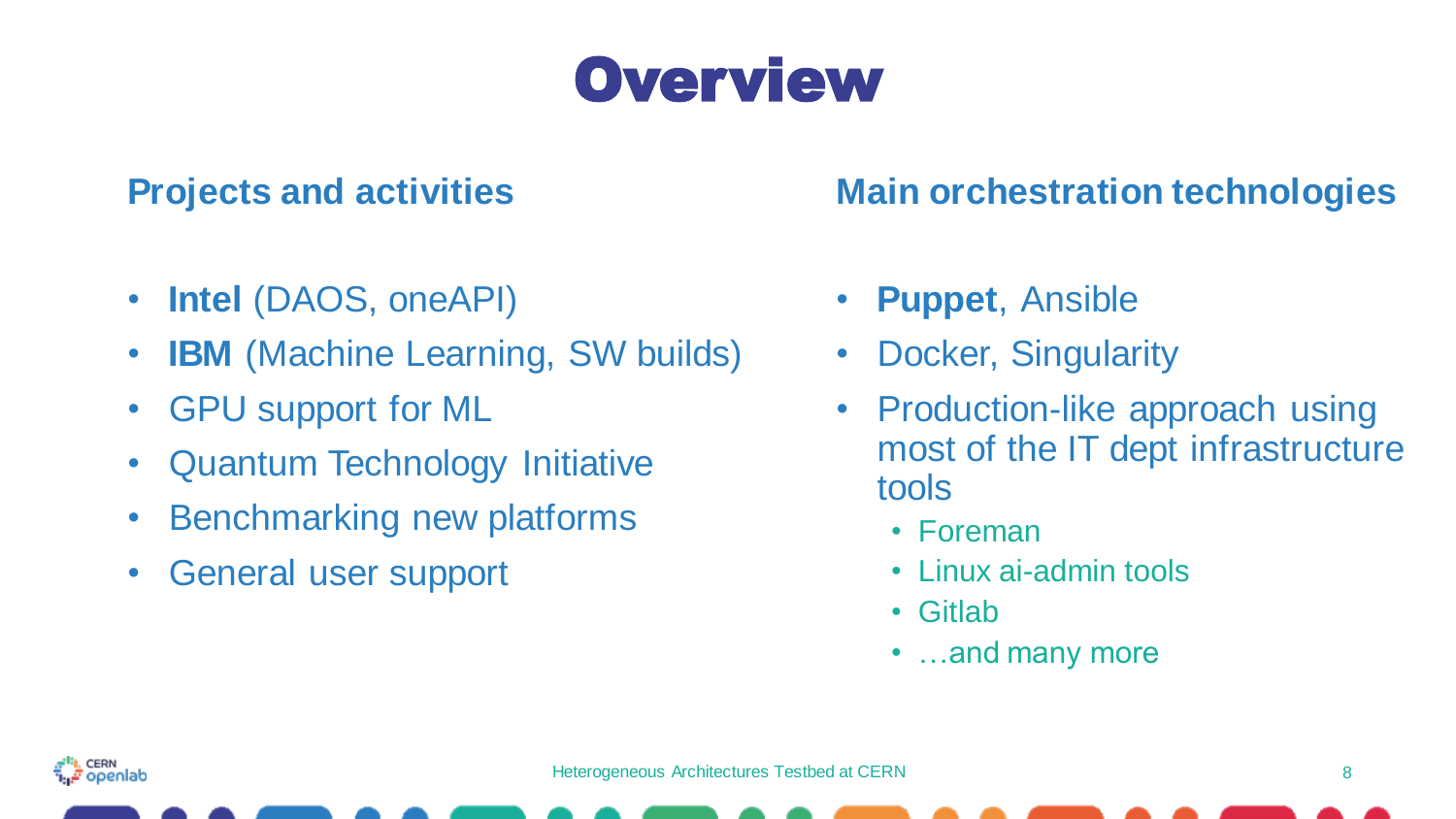

#### **Projects and activities**

- **Intel** (DAOS, oneAPI)
- **IBM** (Machine Learning, SW builds)
- GPU support for ML
- Quantum Technology Initiative
- Benchmarking new platforms
- General user support

#### **Main orchestration technologies**

- **Puppet**, Ansible
- Docker, Singularity
- Production-like approach using most of the IT dept infrastructure tools
	- Foreman
	- Linux ai-admin tools
	- Gitlab
	- …and many more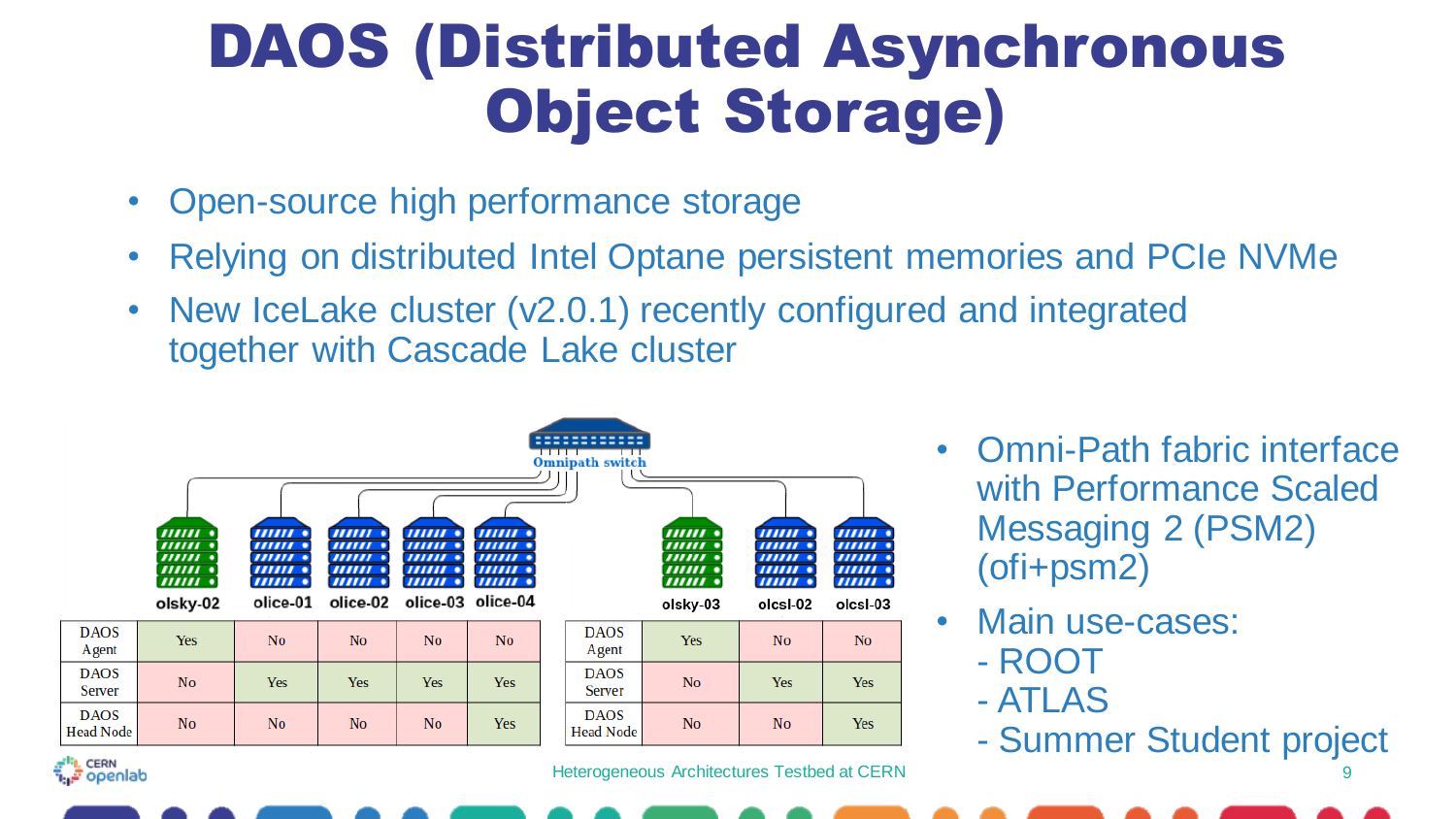#### DAOS (Distributed Asynchronous Object Storage)

- Open-source high performance storage
- Relying on distributed Intel Optane persistent memories and PCIe NVMe
- New IceLake cluster (v2.0.1) recently configured and integrated together with Cascade Lake cluster



Heterogeneous Architectures Testbed at CERN

- Omni-Path fabric interface with Performance Scaled Messaging 2 (PSM2) (ofi+psm2)
- Main use-cases:
	- ROOT
	- ATLAS
	- Summer Student project

9



**DAOS** 

Agent

**DAOS** 

**Server** 

**DAOS**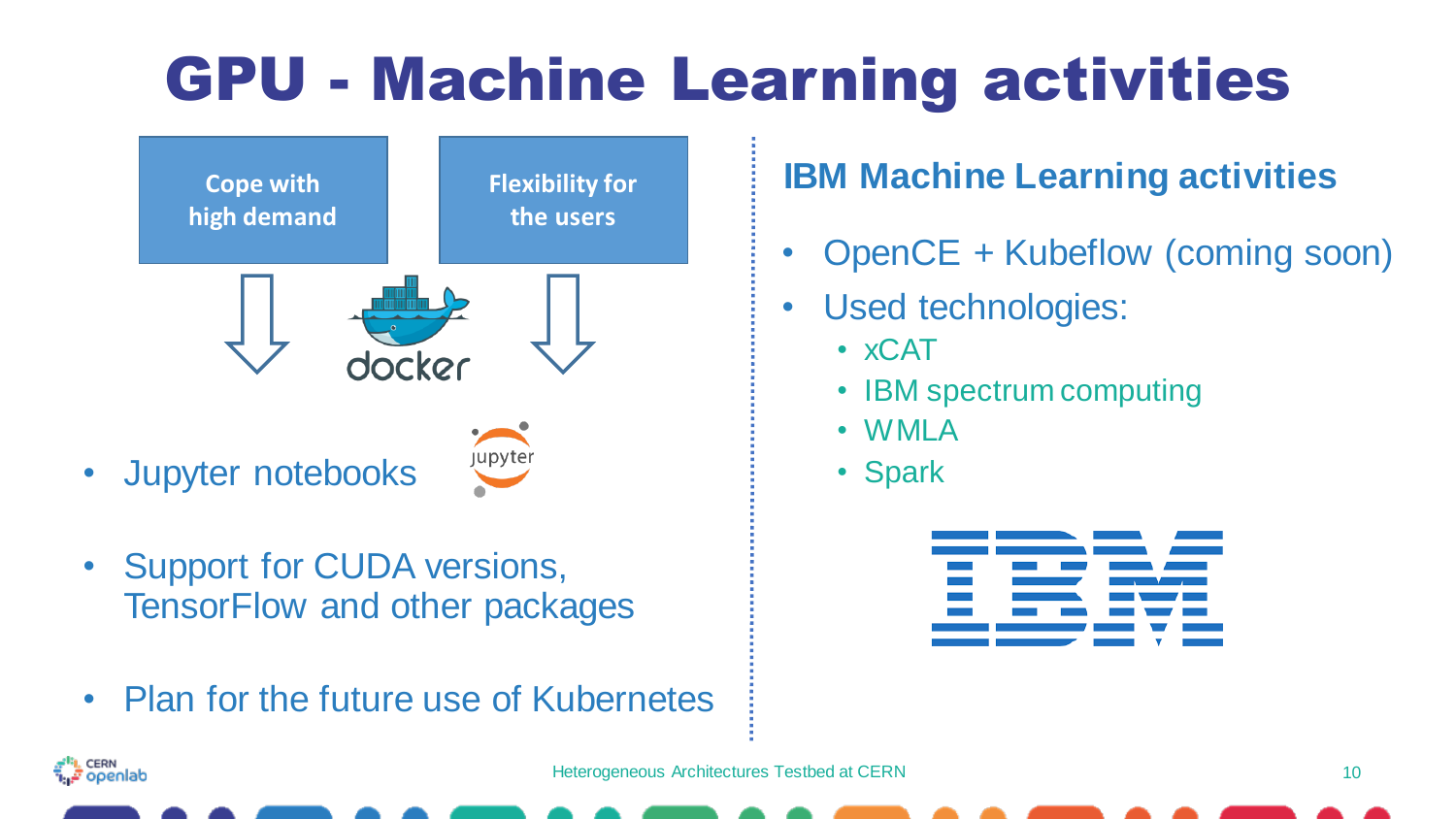### GPU - Machine Learning activities



- Jupyter notebooks
- Support for CUDA versions, TensorFlow and other packages
- Plan for the future use of Kubernetes

#### **IBM Machine Learning activities**

- OpenCE + Kubeflow (coming soon)
- Used technologies:
	- xCAT
	- IBM spectrum computing
	- WMLA
	- Spark

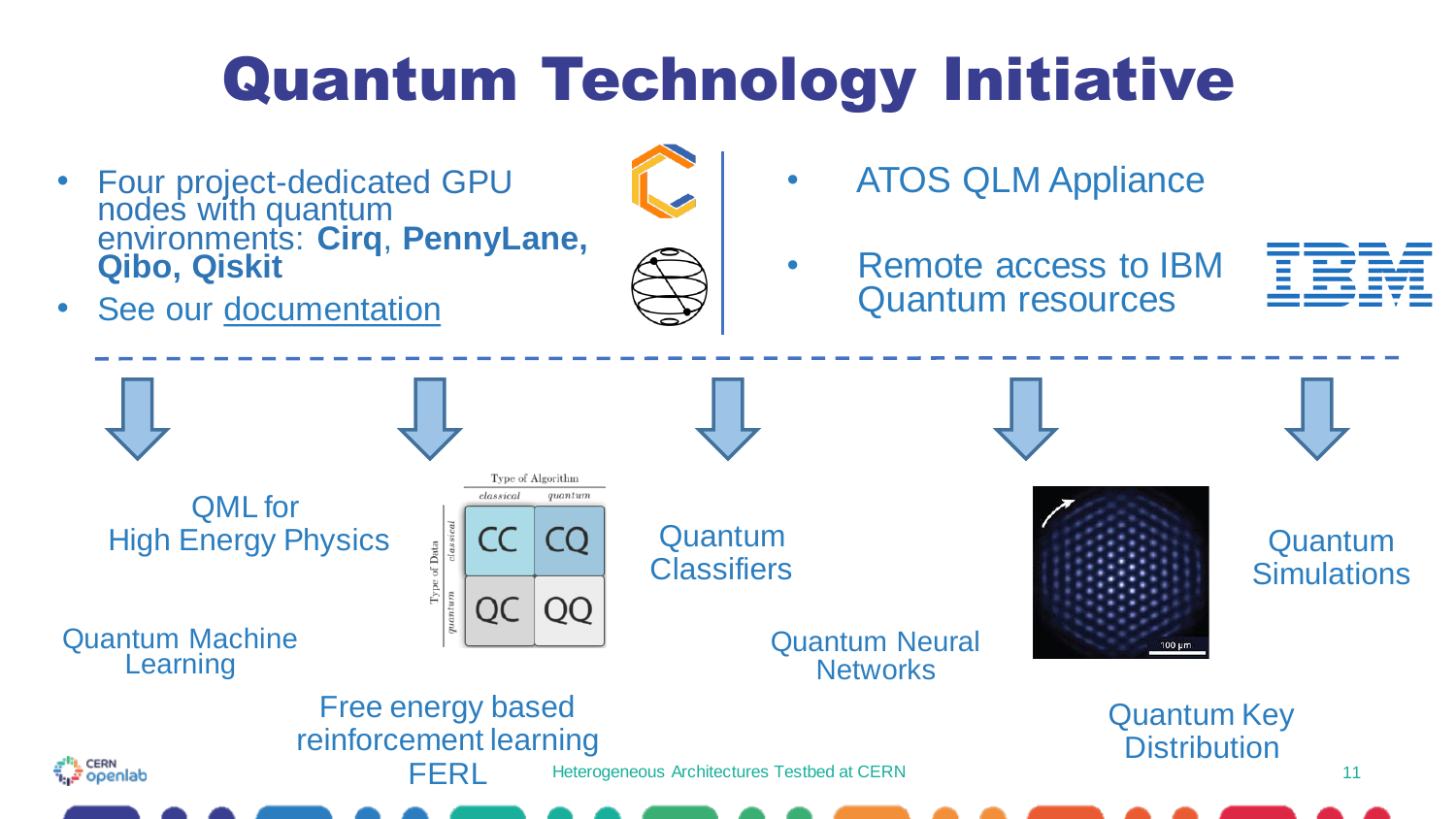### Quantum Technology Initiative

• Four project-dedicated GPU nodes with quantum environments: **Cirq**, **PennyLane, Qibo, Qiskit**

See our [documentation](https://openlab-systems.web.cern.ch/qti/qti-nodes/)

- 
- ATOS QLM Appliance
- Remote access to IBM Quantum resources



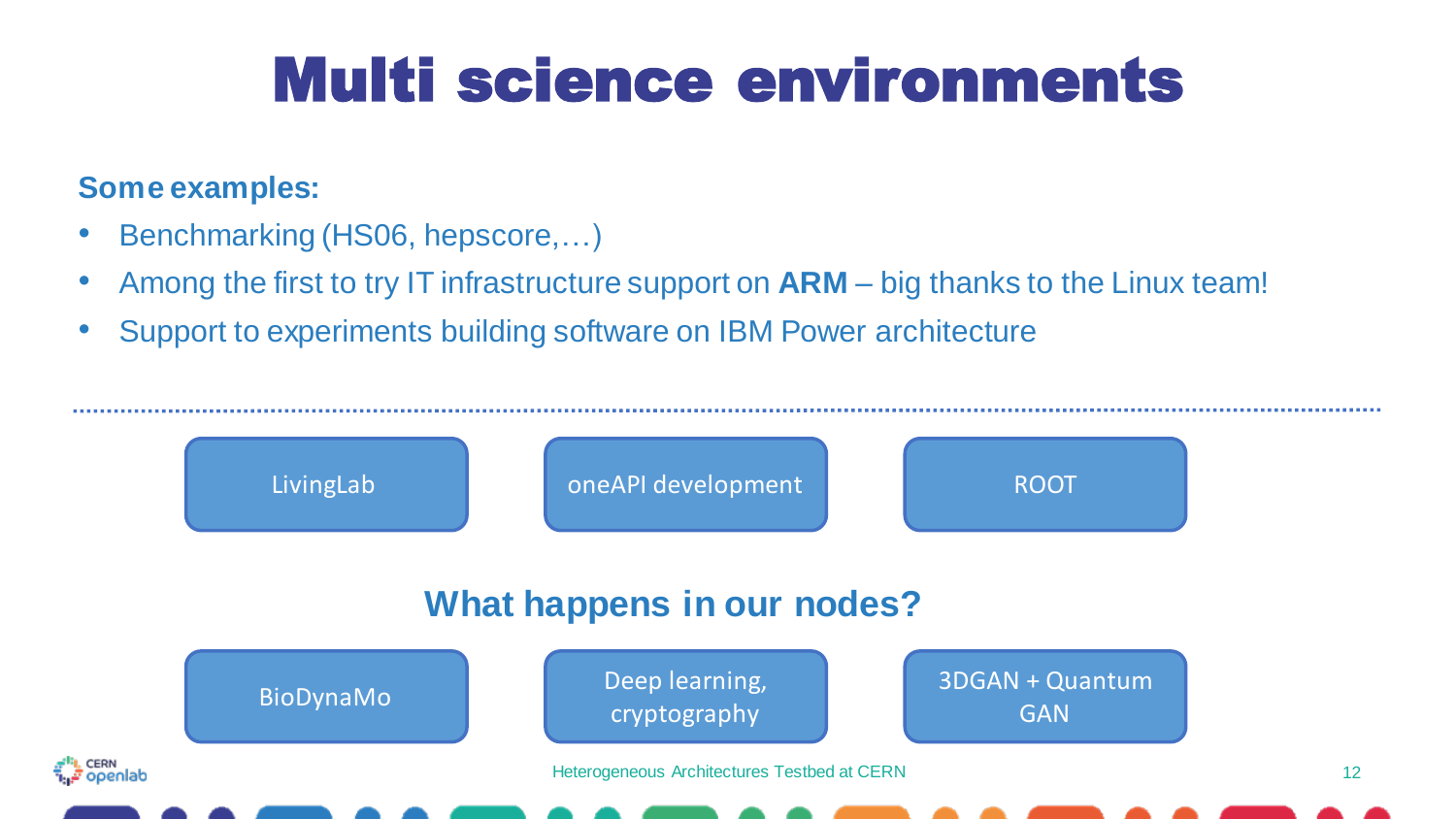#### Multi science environments

#### **Some examples:**

- Benchmarking (HS06, hepscore,…)
- Among the first to try IT infrastructure support on **ARM**  big thanks to the Linux team!
- Support to experiments building software on IBM Power architecture

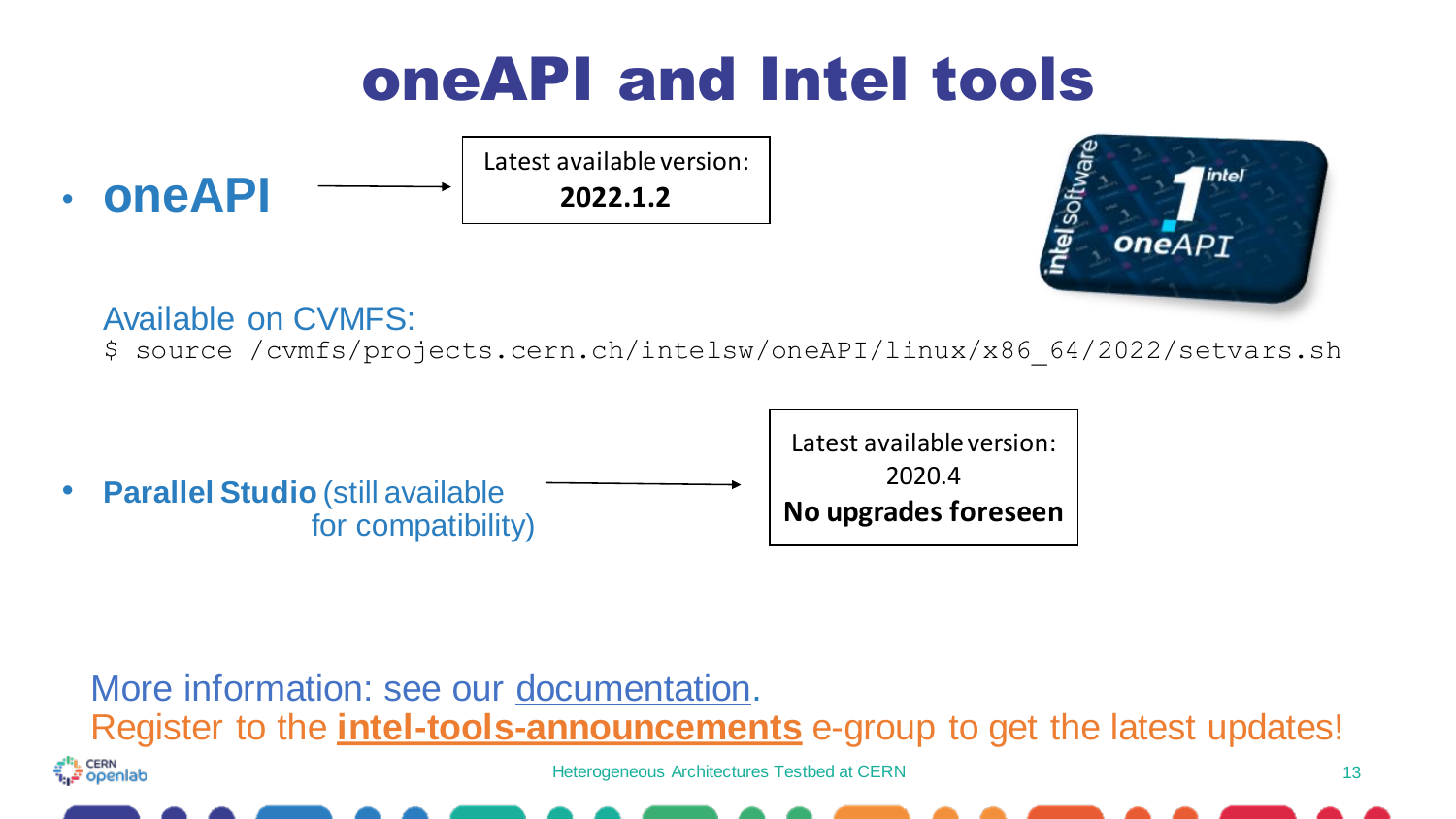

#### Available on CVMFS:

\$ source /cvmfs/projects.cern.ch/intelsw/oneAPI/linux/x86\_64/2022/setvars.sh



#### More information: see our [documentation.](https://openlab-systems.web.cern.ch/intel/oneapi/) Register to the **intel-tools-announcements** e-group to get the latest updates!<sup>s</sup>ı, cerin<br>المجم Heterogeneous Architectures Testbed at CERN 13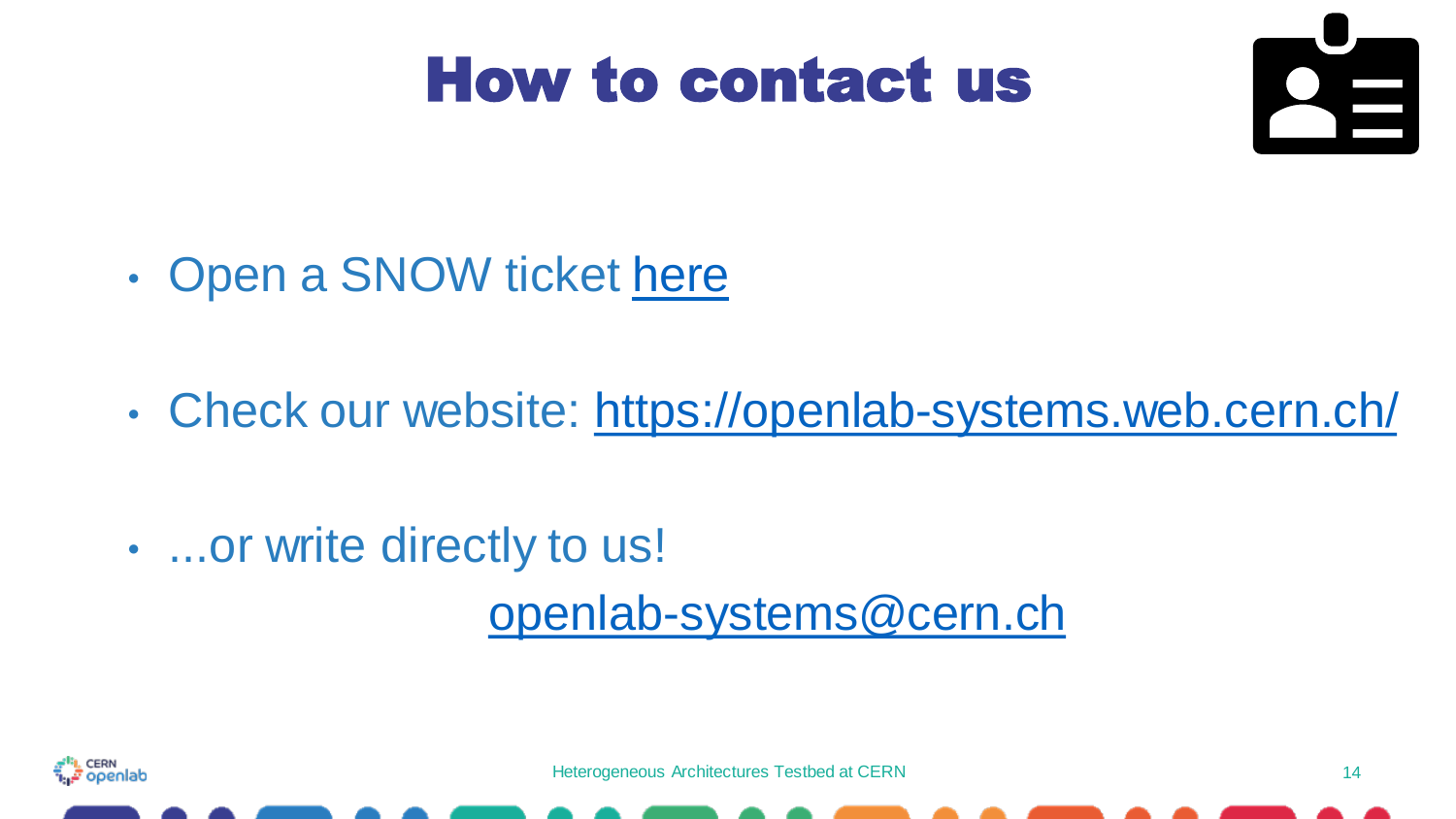#### How to contact us



- Open a SNOW ticket [here](https://cern.service-now.com/service-portal?id=functional_element&name=openlab-systems)
- Check our website:<https://openlab-systems.web.cern.ch/>
- ...or write directly to us!

[openlab-systems@cern.ch](mailto:openlab-systems@cern.ch)